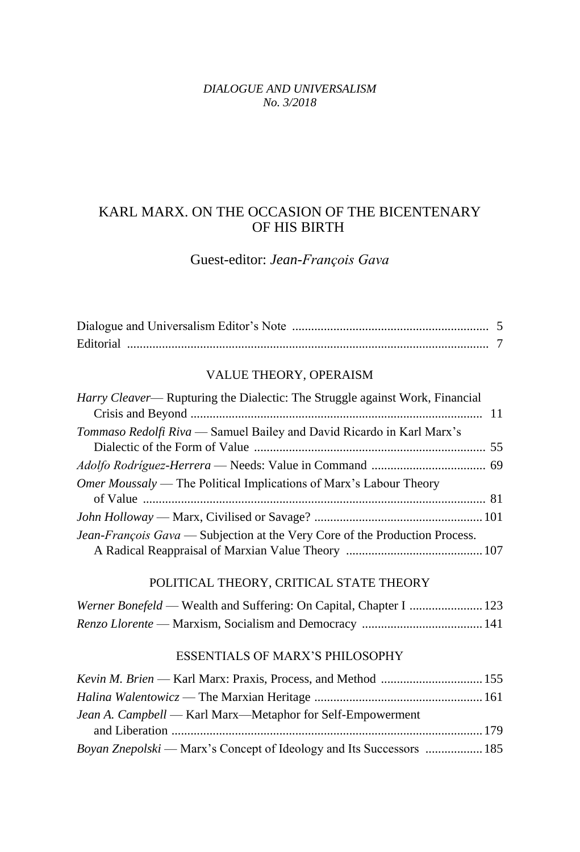#### *DIALOGUE AND UNIVERSALISM No. 3/2018*

# KARL MARX. ON THE OCCASION OF THE BICENTENARY OF HIS BIRTH

# Guest-editor: *Jean-François Gava*

| Editorial |  |
|-----------|--|

## VALUE THEORY, OPERAISM

| Harry Cleaver— Rupturing the Dialectic: The Struggle against Work, Financial |  |
|------------------------------------------------------------------------------|--|
|                                                                              |  |
| Tommaso Redolfi Riva — Samuel Bailey and David Ricardo in Karl Marx's        |  |
|                                                                              |  |
|                                                                              |  |
| <i>Omer Moussaly</i> — The Political Implications of Marx's Labour Theory    |  |
|                                                                              |  |
|                                                                              |  |
| Jean-François Gava — Subjection at the Very Core of the Production Process.  |  |
|                                                                              |  |

#### POLITICAL THEORY, CRITICAL STATE THEORY

| Werner Bonefeld — Wealth and Suffering: On Capital, Chapter I  123 |  |
|--------------------------------------------------------------------|--|
|                                                                    |  |

### ESSENTIALS OF MARX'S PHILOSOPHY

| <i>Jean A. Campbell</i> — Karl Marx—Metaphor for Self-Empowerment    |  |
|----------------------------------------------------------------------|--|
|                                                                      |  |
| Boyan Znepolski — Marx's Concept of Ideology and Its Successors  185 |  |